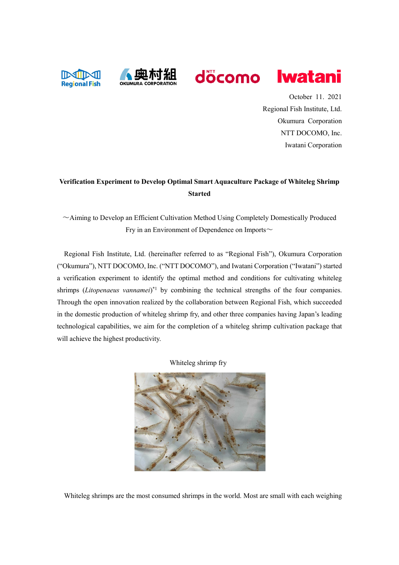



October 11. 2021 Regional Fish Institute, Ltd. Okumura Corporation NTT DOCOMO, Inc.

**Iwatani** 

Iwatani Corporation

# **Verification Experiment to Develop Optimal Smart Aquaculture Package of Whiteleg Shrimp Started**

 $\sim$ Aiming to Develop an Efficient Cultivation Method Using Completely Domestically Produced Fry in an Environment of Dependence on Imports $\sim$ 

Regional Fish Institute, Ltd. (hereinafter referred to as "Regional Fish"), Okumura Corporation ("Okumura"), NTT DOCOMO, Inc. ("NTT DOCOMO"), and Iwatani Corporation ("Iwatani") started a verification experiment to identify the optimal method and conditions for cultivating whiteleg shrimps (Litopenaeus vannamei)<sup>\*1</sup> by combining the technical strengths of the four companies. Through the open innovation realized by the collaboration between Regional Fish, which succeeded in the domestic production of whiteleg shrimp fry, and other three companies having Japan's leading technological capabilities, we aim for the completion of a whiteleg shrimp cultivation package that will achieve the highest productivity.

Whiteleg shrimp fry



Whiteleg shrimps are the most consumed shrimps in the world. Most are small with each weighing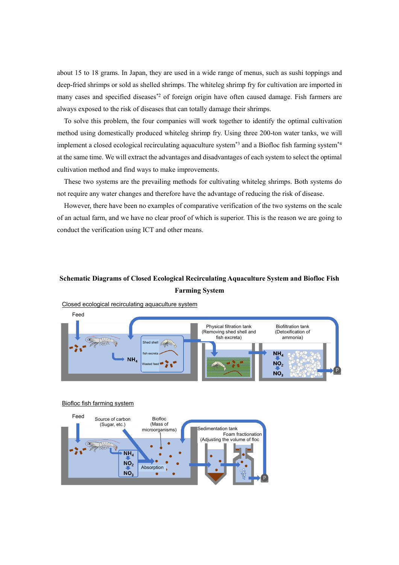about 15 to 18 grams. In Japan, they are used in a wide range of menus, such as sushi toppings and deep-fried shrimps or sold as shelled shrimps. The whiteleg shrimp fry for cultivation are imported in many cases and specified diseases<sup>\*2</sup> of foreign origin have often caused damage. Fish farmers are always exposed to the risk of diseases that can totally damage their shrimps.

To solve this problem, the four companies will work together to identify the optimal cultivation method using domestically produced whiteleg shrimp fry. Using three 200-ton water tanks, we will implement a closed ecological recirculating aquaculture system<sup>\*3</sup> and a Biofloc fish farming system<sup>\*4</sup> at the same time. We will extract the advantages and disadvantages of each system to select the optimal cultivation method and find ways to make improvements.

These two systems are the prevailing methods for cultivating whiteleg shrimps. Both systems do not require any water changes and therefore have the advantage of reducing the risk of disease.

However, there have been no examples of comparative verification of the two systems on the scale of an actual farm, and we have no clear proof of which is superior. This is the reason we are going to conduct the verification using ICT and other means.

## **Schematic Diagrams of Closed Ecological Recirculating Aquaculture System and Biofloc Fish Farming System**



Closed ecological recirculating aquaculture system

#### Biofloc fish farming system

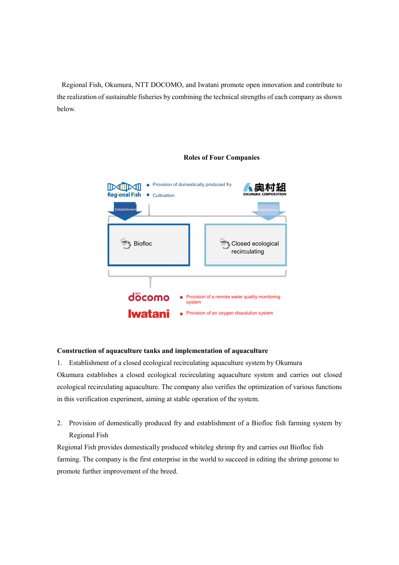Regional Fish, Okumura, NTT DOCOMO, and Iwatani promote open innovation and contribute to the realization of sustainable fisheries by combining the technical strengths of each company as shown below.



#### **Roles of Four Companies**

### **Construction of aquaculture tanks and implementation of aquaculture**

1. Establishment of a closed ecological recirculating aquaculture system by Okumura

Okumura establishes a closed ecological recirculating aquaculture system and carries out closed ecological recirculating aquaculture. The company also verifies the optimization of various functions in this verification experiment, aiming at stable operation of the system.

2. Provision of domestically produced fry and establishment of a Biofloc fish farming system by Regional Fish

Regional Fish provides domestically produced whiteleg shrimp fry and carries out Biofloc fish farming. The company is the first enterprise in the world to succeed in editing the shrimp genome to promote further improvement of the breed.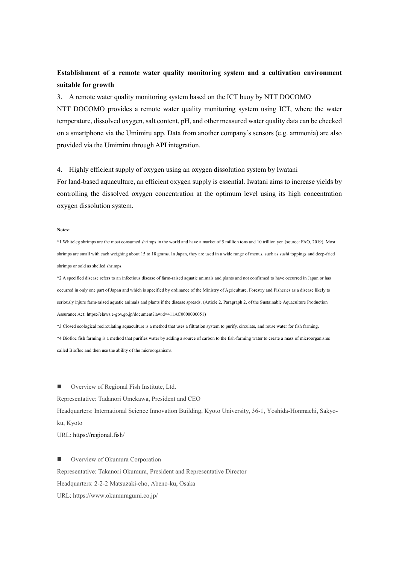### **Establishment of a remote water quality monitoring system and a cultivation environment suitable for growth**

#### 3. A remote water quality monitoring system based on the ICT buoy by NTT DOCOMO

NTT DOCOMO provides a remote water quality monitoring system using ICT, where the water temperature, dissolved oxygen, salt content, pH, and other measured water quality data can be checked on a smartphone via the Umimiru app. Data from another company's sensors (e.g. ammonia) are also provided via the Umimiru through API integration.

#### 4. Highly efficient supply of oxygen using an oxygen dissolution system by Iwatani

For land-based aquaculture, an efficient oxygen supply is essential. Iwatani aims to increase yields by controlling the dissolved oxygen concentration at the optimum level using its high concentration oxygen dissolution system.

#### **Notes:**

\*1 Whiteleg shrimps are the most consumed shrimps in the world and have a market of 5 million tons and 10 trillion yen (source: FAO, 2019). Most shrimps are small with each weighing about 15 to 18 grams. In Japan, they are used in a wide range of menus, such as sushi toppings and deep-fried shrimps or sold as shelled shrimps.

\*2 A specified disease refers to an infectious disease of farm-raised aquatic animals and plants and not confirmed to have occurred in Japan or has occurred in only one part of Japan and which is specified by ordinance of the Ministry of Agriculture, Forestry and Fisheries as a disease likely to seriously injure farm-raised aquatic animals and plants if the disease spreads. (Article 2, Paragraph 2, of the Sustainable Aquaculture Production Assurance Act: https://elaws.e-gov.go.jp/document?lawid=411AC0000000051)

\*3 Closed ecological recirculating aquaculture is a method that uses a filtration system to purify, circulate, and reuse water for fish farming. \*4 Biofloc fish farming is a method that purifies water by adding a source of carbon to the fish-farming water to create a mass of microorganisms called Biofloc and then use the ability of the microorganisms.

■ Overview of Regional Fish Institute, Ltd.

#### Representative: Tadanori Umekawa, President and CEO

Headquarters: International Science Innovation Building, Kyoto University, 36-1, Yoshida-Honmachi, Sakyoku, Kyoto URL: https://regional.fish/

 Overview of Okumura Corporation Representative: Takanori Okumura, President and Representative Director Headquarters: 2-2-2 Matsuzaki-cho, Abeno-ku, Osaka URL: https://www.okumuragumi.co.jp/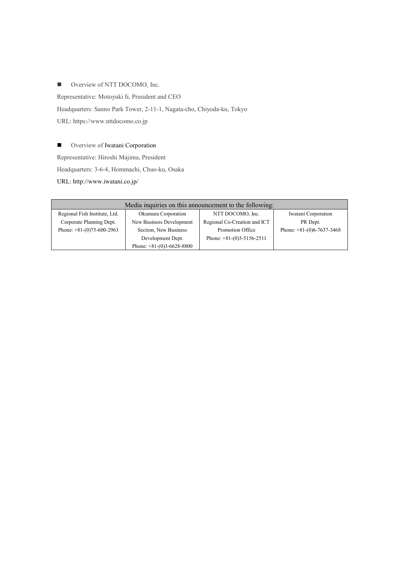■ Overview of NTT DOCOMO, Inc.

Representative: Motoyuki Ii, President and CEO

Headquarters: Sanno Park Tower, 2-11-1, Nagata-cho, Chiyoda-ku, Tokyo

URL: https://www.nttdocomo.co.jp

**Overview of Iwatani Corporation** 

Representative: Hiroshi Majima, President

Headquarters: 3-6-4, Hommachi, Chuo-ku, Osaka

URL: http://www.iwatani.co.jp/

| Media inquiries on this announcement to the following: |                             |                              |                             |
|--------------------------------------------------------|-----------------------------|------------------------------|-----------------------------|
| Regional Fish Institute, Ltd.                          | Okumura Corporation         | NTT DOCOMO, Inc.             | Iwatani Corporation         |
| Corporate Planning Dept.                               | New Business Development    | Regional Co-Creation and ICT | PR Dept.                    |
| Phone: $+81-(0)75-600-2963$                            | Section, New Business       | Promotion Office             | Phone: $+81-(0)6-7637-3468$ |
|                                                        | Development Dept.           | Phone: $+81-(0)3-5156-2511$  |                             |
|                                                        | Phone: $+81-(0)3-6628-8800$ |                              |                             |